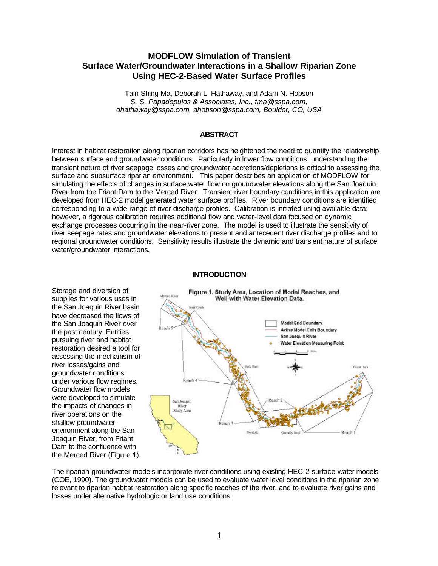# **MODFLOW Simulation of Transient Surface Water/Groundwater Interactions in a Shallow Riparian Zone Using HEC-2-Based Water Surface Profiles**

Tain-Shing Ma, Deborah L. Hathaway, and Adam N. Hobson *S. S. Papadopulos & Associates, Inc., tma@sspa.com, dhathaway@sspa.com, ahobson@sspa.com, Boulder, CO, USA*

### **ABSTRACT**

Interest in habitat restoration along riparian corridors has heightened the need to quantify the relationship between surface and groundwater conditions. Particularly in lower flow conditions, understanding the transient nature of river seepage losses and groundwater accretions/depletions is critical to assessing the surface and subsurface riparian environment. This paper describes an application of MODFLOW for simulating the effects of changes in surface water flow on groundwater elevations along the San Joaquin River from the Friant Dam to the Merced River. Transient river boundary conditions in this application are developed from HEC-2 model generated water surface profiles. River boundary conditions are identified corresponding to a wide range of river discharge profiles. Calibration is initiated using available data; however, a rigorous calibration requires additional flow and water-level data focused on dynamic exchange processes occurring in the near-river zone. The model is used to illustrate the sensitivity of river seepage rates and groundwater elevations to present and antecedent river discharge profiles and to regional groundwater conditions. Sensitivity results illustrate the dynamic and transient nature of surface water/groundwater interactions.

#### **INTRODUCTION**

Storage and diversion of

the past century. Entities pursuing river and habitat

river losses/gains and groundwater conditions

Groundwater flow models

the impacts of changes in river operations on the shallow groundwater

Joaquin River, from Friant



The riparian groundwater models incorporate river conditions using existing HEC-2 surface-water models (COE, 1990). The groundwater models can be used to evaluate water level conditions in the riparian zone relevant to riparian habitat restoration along specific reaches of the river, and to evaluate river gains and losses under alternative hydrologic or land use conditions.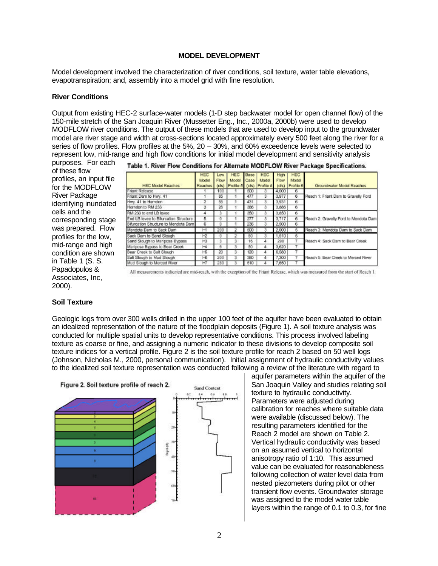#### **MODEL DEVELOPMENT**

Model development involved the characterization of river conditions, soil texture, water table elevations, evapotranspiration; and, assembly into a model grid with fine resolution.

#### **River Conditions**

Output from existing HEC-2 surface-water models (1-D step backwater model for open channel flow) of the 150-mile stretch of the San Joaquin River (Mussetter Eng., Inc., 2000a, 2000b) were used to develop MODFLOW river conditions. The output of these models that are used to develop input to the groundwater model are river stage and width at cross-sections located approximately every 500 feet along the river for a series of flow profiles. Flow profiles at the 5%, 20 – 30%, and 60% exceedence levels were selected to represent low, mid-range and high flow conditions for initial model development and sensitivity analysis

purposes. For each of these flow profiles, an input file for the MODFLOW River Package identifying inundated cells and the corresponding stage was prepared. Flow profiles for the low, mid-range and high condition are shown in Table 1 (S. S. Papadopulos & Associates, Inc, 2000).

|  |  |  |  |  |  |  | Table 1. River Flow Conditions for Alternate MODFLOW River Package Specifications |
|--|--|--|--|--|--|--|-----------------------------------------------------------------------------------|
|--|--|--|--|--|--|--|-----------------------------------------------------------------------------------|

| <b>HEC Model Reaches</b>              | <b>HEC</b><br>Model<br>Reaches | Low-<br>Flow<br>$[{\rm cfs}]$ | HEC.<br>Model<br>Profile # | Base<br>Case<br>(cfs) | <b>HEC</b><br>Model<br>Profile # | High<br><b>Flow</b><br>(ds) | HEC.<br>Model<br>Profile # | Groundwater Model Reaches             |  |
|---------------------------------------|--------------------------------|-------------------------------|----------------------------|-----------------------|----------------------------------|-----------------------------|----------------------------|---------------------------------------|--|
| riant Release                         |                                | 100                           |                            | 500                   |                                  | 4.000                       | 6                          |                                       |  |
| riant Dam to Hwy, 41                  |                                | 85                            |                            | 477                   | $3 -$                            | 3,977                       | 6                          | Reach 1: Friant Dam to Gravelly Ford  |  |
| Iwy. 41 to Harndon                    | 2                              | 55                            |                            | 431                   | з                                | 3.931                       | 6                          |                                       |  |
| terndon to RM 233                     | з                              | 26                            |                            | 386                   | ā                                | 3,886                       | 6                          |                                       |  |
| RM 233 to end LB levee                | 4                              |                               |                            | 350                   | ã                                | 3,850                       | 6                          |                                       |  |
| End LB levee to Bifurcation Structure | 5.                             |                               |                            | 277                   | 3                                | 3,717                       | 6                          | Reach 2: Gravelly Ford to Mendota Dam |  |
| Sifurcation Structure to Mendota Dami | 6                              |                               | 1                          | 236                   | 3                                | 2,500                       | 6                          |                                       |  |
| Mendota Dam to Sack Dam               | н                              | 200                           |                            | 500                   | З                                | 2,000                       | Б                          | Reach 3: Mendota Dam to Sack Dam      |  |
| Sack Dam to Sand Slough               | HR                             |                               |                            | 50                    |                                  | 1,510                       | 5                          |                                       |  |
| Sand Slough to Mariposa Bypass        | HG                             | 3                             | 3                          | 16                    |                                  | 290                         | 7                          | Reach 4: Sack Dam to Bear Creek       |  |
| Mariposa Bypass to Bear Creek         | H                              | 6                             | 3                          | 50                    |                                  | 3,620                       |                            |                                       |  |
| Sear Creek to Salt Slough             | Н5                             | 20                            | з                          | 120                   |                                  | 6,580                       |                            |                                       |  |
| Salt Slough to Mud Slough             | HВ                             | 200                           | 3                          | 380                   |                                  | 7,300                       |                            | Reach 5: Bear Creek to Merced River   |  |
| Aud Slough to Merced River            | H                              | 280                           | 3                          | 510                   |                                  | .660                        |                            |                                       |  |

All measurements indicated are mid-reach, with the exception of the Friant Release, which was measured from the start of Reach 1.

## **Soil Texture**

Geologic logs from over 300 wells drilled in the upper 100 feet of the aquifer have been evaluated to obtain an idealized representation of the nature of the floodplain deposits (Figure 1). A soil texture analysis was conducted for multiple spatial units to develop representative conditions. This process involved labeling texture as coarse or fine, and assigning a numeric indicator to these divisions to develop composite soil texture indices for a vertical profile. Figure 2 is the soil texture profile for reach 2 based on 50 well logs (Johnson, Nicholas M., 2000, personal communication). Initial assignment of hydraulic conductivity values to the idealized soil texture representation was conducted following a review of the literature with regard to



aquifer parameters within the aquifer of the San Joaquin Valley and studies relating soil texture to hydraulic conductivity. Parameters were adjusted during calibration for reaches where suitable data were available (discussed below). The resulting parameters identified for the Reach 2 model are shown on Table 2. Vertical hydraulic conductivity was based on an assumed vertical to horizontal anisotropy ratio of 1:10. This assumed value can be evaluated for reasonableness following collection of water level data from nested piezometers during pilot or other transient flow events. Groundwater storage was assigned to the model water table layers within the range of 0.1 to 0.3, for fine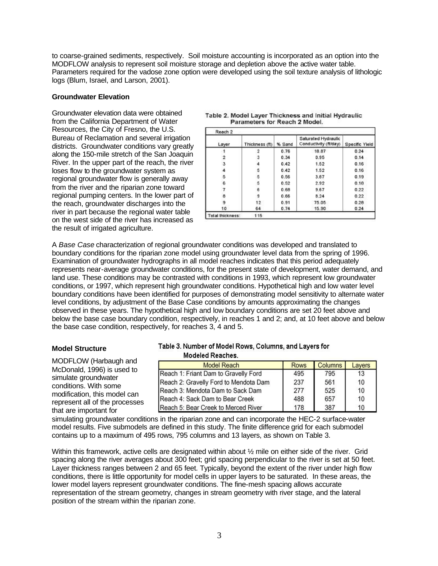to coarse-grained sediments, respectively. Soil moisture accounting is incorporated as an option into the MODFLOW analysis to represent soil moisture storage and depletion above the active water table. Parameters required for the vadose zone option were developed using the soil texture analysis of lithologic logs (Blum, Israel, and Larson, 2001).

### **Groundwater Elevation**

Groundwater elevation data were obtained from the California Department of Water Resources, the City of Fresno, the U.S. Bureau of Reclamation and several irrigation districts. Groundwater conditions vary greatly along the 150-mile stretch of the San Joaquin River. In the upper part of the reach, the river loses flow to the groundwater system as regional groundwater flow is generally away from the river and the riparian zone toward regional pumping centers. In the lower part of the reach, groundwater discharges into the river in part because the regional water table on the west side of the river has increased as the result of irrigated agriculture.

| Layer            | Thickness (ft) | % Sand | Saturated Hydraulic<br>Conductivity (ft/day) | Specific Yield |
|------------------|----------------|--------|----------------------------------------------|----------------|
|                  |                | 0.76   | 18.87                                        | 0.24           |
| 2                | 3              | 0.34   | 0.95                                         | 0.14           |
| 3                |                | 0.42   | 1.52                                         | 0.16           |
|                  | 5              | 0.42   | 1.52                                         | 0.16           |
| 5                | 5              | 0.56   | 3.87                                         | 0.19           |
| 6                | 5              | 0.52   | 2.92                                         | 0.18           |
|                  | 6              | 0.68   | 9.67                                         | 0.22           |
| 8                | 9              | 0.66   | 8.24                                         | 0.22           |
|                  | 12             | 0.91   | 75.05                                        | 0.28           |
| 10               | 64             | 0.74   | 15.90                                        | 0.24           |
| Total thickness: | 115            |        |                                              |                |

#### Table 2. Model Layer Thickness and Initial Hydraulic Parameters for Reach 2 Model.

A *Base Case* characterization of regional groundwater conditions was developed and translated to boundary conditions for the riparian zone model using groundwater level data from the spring of 1996. Examination of groundwater hydrographs in all model reaches indicates that this period adequately represents near-average groundwater conditions, for the present state of development, water demand, and land use. These conditions may be contrasted with conditions in 1993, which represent low groundwater conditions, or 1997, which represent high groundwater conditions. Hypothetical high and low water level boundary conditions have been identified for purposes of demonstrating model sensitivity to alternate water level conditions, by adjustment of the Base Case conditions by amounts approximating the changes observed in these years. The hypothetical high and low boundary conditions are set 20 feet above and below the base case boundary condition, respectively, in reaches 1 and 2; and, at 10 feet above and below the base case condition, respectively, for reaches 3, 4 and 5.

## **Model Structure**

MODFLOW (Harbaugh and McDonald, 1996) is used to simulate groundwater conditions. With some modification, this model can represent all of the processes that are important for

### Table 3. Number of Model Rows, Columns, and Layers for **Modeled Reaches.**

| <b>Model Reach</b>                    | <b>Rows</b> | <b>Columns</b> | Lavers |
|---------------------------------------|-------------|----------------|--------|
| Reach 1: Friant Dam to Gravelly Ford  | 495         | 795            | 13     |
| Reach 2: Gravelly Ford to Mendota Dam | 237         | 561            | 10     |
| Reach 3: Mendota Dam to Sack Dam      | 277         | 525            | 10     |
| Reach 4: Sack Dam to Bear Creek       | 488         | 657            | 10     |
| Reach 5: Bear Creek to Merced River   | 178         | 387            | 10     |

simulating groundwater conditions in the riparian zone and can incorporate the HEC-2 surface-water model results. Five submodels are defined in this study. The finite difference grid for each submodel contains up to a maximum of 495 rows, 795 columns and 13 layers, as shown on Table 3.

Within this framework, active cells are designated within about  $\frac{1}{2}$  mile on either side of the river. Grid spacing along the river averages about 300 feet; grid spacing perpendicular to the river is set at 50 feet. Layer thickness ranges between 2 and 65 feet. Typically, beyond the extent of the river under high flow conditions, there is little opportunity for model cells in upper layers to be saturated. In these areas, the lower model layers represent groundwater conditions. The fine-mesh spacing allows accurate representation of the stream geometry, changes in stream geometry with river stage, and the lateral position of the stream within the riparian zone.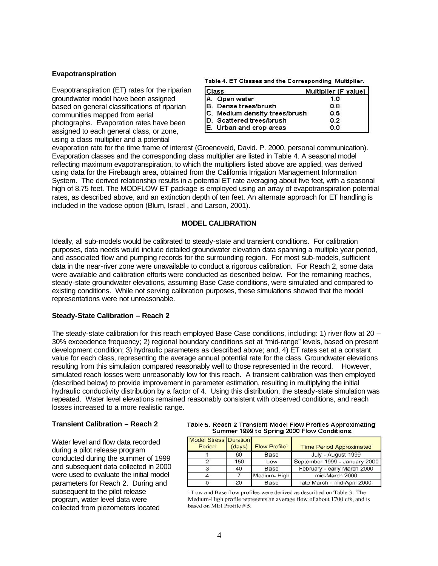#### **Evapotranspiration**

Evapotranspiration (ET) rates for the riparian groundwater model have been assigned based on general classifications of riparian communities mapped from aerial photographs. Evaporation rates have been assigned to each general class, or zone, using a class multiplier and a potential

|  | Table 4. ET Classes and the Corresponding Multiplier. |  |  |  |
|--|-------------------------------------------------------|--|--|--|
|--|-------------------------------------------------------|--|--|--|

| Class                            | Multiplier (F value) |
|----------------------------------|----------------------|
| A. Open water                    | 1.0                  |
| B. Dense trees/brush             | 0.8                  |
| C. Medium density trees/brush    | 0.5                  |
| <b>ID.</b> Scattered trees/brush | 0.2                  |
| E. Urban and crop areas          | n n                  |

evaporation rate for the time frame of interest (Groeneveld, David. P. 2000, personal communication). Evaporation classes and the corresponding class multiplier are listed in Table 4. A seasonal model reflecting maximum evapotranspiration, to which the multipliers listed above are applied, was derived using data for the Firebaugh area, obtained from the California Irrigation Management Information System. The derived relationship results in a potential ET rate averaging about five feet, with a seasonal high of 8.75 feet. The MODFLOW ET package is employed using an array of evapotranspiration potential rates, as described above, and an extinction depth of ten feet. An alternate approach for ET handling is included in the vadose option (Blum, Israel , and Larson, 2001).

## **MODEL CALIBRATION**

Ideally, all sub-models would be calibrated to steady-state and transient conditions. For calibration purposes, data needs would include detailed groundwater elevation data spanning a multiple year period, and associated flow and pumping records for the surrounding region. For most sub-models, sufficient data in the near-river zone were unavailable to conduct a rigorous calibration. For Reach 2, some data were available and calibration efforts were conducted as described below. For the remaining reaches, steady-state groundwater elevations, assuming Base Case conditions, were simulated and compared to existing conditions. While not serving calibration purposes, these simulations showed that the model representations were not unreasonable.

### **Steady-State Calibration – Reach 2**

The steady-state calibration for this reach employed Base Case conditions, including: 1) river flow at 20 – 30% exceedence frequency; 2) regional boundary conditions set at "mid-range" levels, based on present development condition; 3) hydraulic parameters as described above; and, 4) ET rates set at a constant value for each class, representing the average annual potential rate for the class. Groundwater elevations resulting from this simulation compared reasonably well to those represented in the record. However, simulated reach losses were unreasonably low for this reach. A transient calibration was then employed (described below) to provide improvement in parameter estimation, resulting in multiplying the initial hydraulic conductivity distribution by a factor of 4. Using this distribution, the steady-state simulation was repeated. Water level elevations remained reasonably consistent with observed conditions, and reach losses increased to a more realistic range.

### **Transient Calibration – Reach 2**

Water level and flow data recorded during a pilot release program conducted during the summer of 1999 and subsequent data collected in 2000 were used to evaluate the initial model parameters for Reach 2. During and subsequent to the pilot release program, water level data were collected from piezometers located

#### Table 5. Reach 2 Transient Model Flow Profiles Approximating Summer 1999 to Spring 2000 Flow Conditions.

| <b>Model Stress Duration</b><br>Period | (days) | Flow Profile <sup>1</sup> | <b>Time Period Approximated</b> |
|----------------------------------------|--------|---------------------------|---------------------------------|
|                                        | 60     | Base                      | July - August 1999              |
|                                        | 150    | Low                       | September 1999 - January 2000   |
|                                        | 40     | Base                      | February - early March 2000     |
|                                        |        | Medium-High               | mid-March 2000                  |
|                                        | 20     | Base                      | late March - mid-April 2000     |

<sup>1</sup> Low and Base flow profiles were derived as described on Table 3. The Medium-High profile represents an average flow of about 1700 cfs, and is based on MEI Profile # 5.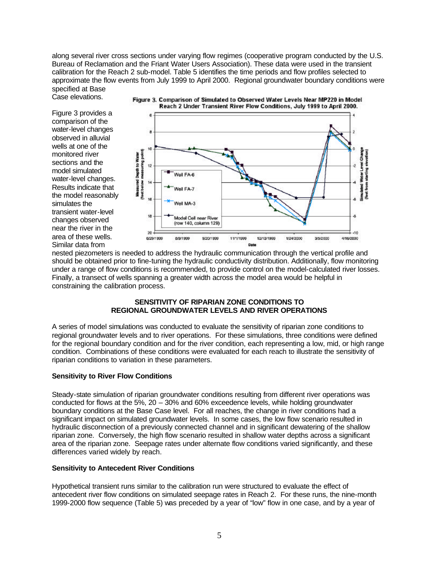along several river cross sections under varying flow regimes (cooperative program conducted by the U.S. Bureau of Reclamation and the Friant Water Users Association). These data were used in the transient calibration for the Reach 2 sub-model. Table 5 identifies the time periods and flow profiles selected to approximate the flow events from July 1999 to April 2000. Regional groundwater boundary conditions were specified at Base

Case elevations.

Figure 3 provides a comparison of the water-level changes observed in alluvial wells at one of the monitored river sections and the model simulated water-level changes. Results indicate that the model reasonably simulates the transient water-level changes observed near the river in the area of these wells. Similar data from



nested piezometers is needed to address the hydraulic communication through the vertical profile and should be obtained prior to fine-tuning the hydraulic conductivity distribution. Additionally, flow monitoring under a range of flow conditions is recommended, to provide control on the model-calculated river losses. Finally, a transect of wells spanning a greater width across the model area would be helpful in constraining the calibration process.

### **SENSITIVITY OF RIPARIAN ZONE CONDITIONS TO REGIONAL GROUNDWATER LEVELS AND RIVER OPERATIONS**

A series of model simulations was conducted to evaluate the sensitivity of riparian zone conditions to regional groundwater levels and to river operations. For these simulations, three conditions were defined for the regional boundary condition and for the river condition, each representing a low, mid, or high range condition. Combinations of these conditions were evaluated for each reach to illustrate the sensitivity of riparian conditions to variation in these parameters.

## **Sensitivity to River Flow Conditions**

Steady-state simulation of riparian groundwater conditions resulting from different river operations was conducted for flows at the 5%, 20 – 30% and 60% exceedence levels, while holding groundwater boundary conditions at the Base Case level. For all reaches, the change in river conditions had a significant impact on simulated groundwater levels. In some cases, the low flow scenario resulted in hydraulic disconnection of a previously connected channel and in significant dewatering of the shallow riparian zone. Conversely, the high flow scenario resulted in shallow water depths across a significant area of the riparian zone. Seepage rates under alternate flow conditions varied significantly, and these differences varied widely by reach.

## **Sensitivity to Antecedent River Conditions**

Hypothetical transient runs similar to the calibration run were structured to evaluate the effect of antecedent river flow conditions on simulated seepage rates in Reach 2. For these runs, the nine-month 1999-2000 flow sequence (Table 5) was preceded by a year of "low" flow in one case, and by a year of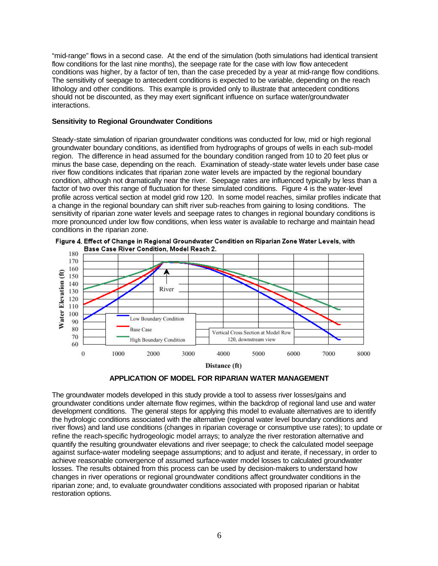"mid-range" flows in a second case. At the end of the simulation (both simulations had identical transient flow conditions for the last nine months), the seepage rate for the case with low flow antecedent conditions was higher, by a factor of ten, than the case preceded by a year at mid-range flow conditions. The sensitivity of seepage to antecedent conditions is expected to be variable, depending on the reach lithology and other conditions. This example is provided only to illustrate that antecedent conditions should not be discounted, as they may exert significant influence on surface water/groundwater interactions.

### **Sensitivity to Regional Groundwater Conditions**

Steady-state simulation of riparian groundwater conditions was conducted for low, mid or high regional groundwater boundary conditions, as identified from hydrographs of groups of wells in each sub-model region. The difference in head assumed for the boundary condition ranged from 10 to 20 feet plus or minus the base case, depending on the reach. Examination of steady-state water levels under base case river flow conditions indicates that riparian zone water levels are impacted by the regional boundary condition, although not dramatically near the river. Seepage rates are influenced typically by less than a factor of two over this range of fluctuation for these simulated conditions. Figure 4 is the water-level profile across vertical section at model grid row 120. In some model reaches, similar profiles indicate that a change in the regional boundary can shift river sub-reaches from gaining to losing conditions. The sensitivity of riparian zone water levels and seepage rates to changes in regional boundary conditions is more pronounced under low flow conditions, when less water is available to recharge and maintain head conditions in the riparian zone.







The groundwater models developed in this study provide a tool to assess river losses/gains and groundwater conditions under alternate flow regimes, within the backdrop of regional land use and water development conditions. The general steps for applying this model to evaluate alternatives are to identify the hydrologic conditions associated with the alternative (regional water level boundary conditions and river flows) and land use conditions (changes in riparian coverage or consumptive use rates); to update or refine the reach-specific hydrogeologic model arrays; to analyze the river restoration alternative and quantify the resulting groundwater elevations and river seepage; to check the calculated model seepage against surface-water modeling seepage assumptions; and to adjust and iterate, if necessary, in order to achieve reasonable convergence of assumed surface-water model losses to calculated groundwater losses. The results obtained from this process can be used by decision-makers to understand how changes in river operations or regional groundwater conditions affect groundwater conditions in the riparian zone; and, to evaluate groundwater conditions associated with proposed riparian or habitat restoration options.